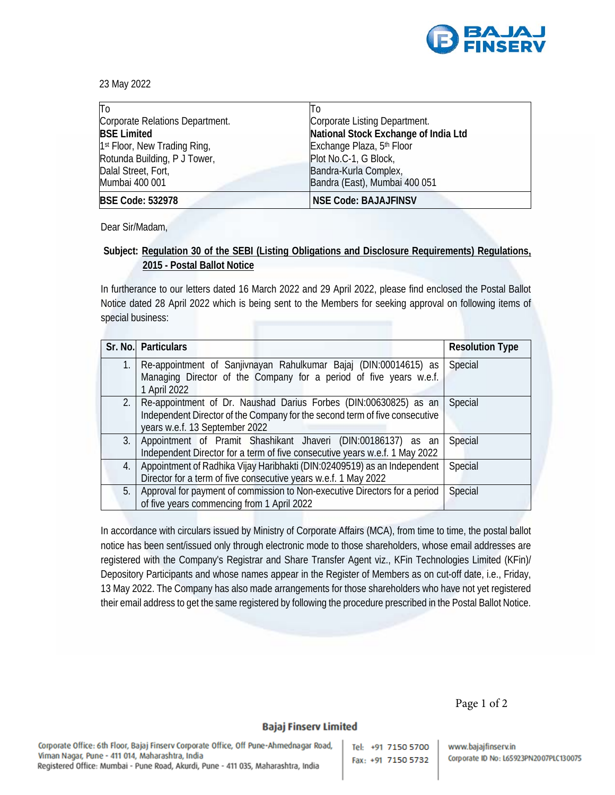

23 May 2022

| To                                       | Πo                                   |
|------------------------------------------|--------------------------------------|
| Corporate Relations Department.          | Corporate Listing Department.        |
| <b>BSE Limited</b>                       | National Stock Exchange of India Ltd |
| 1 <sup>st</sup> Floor, New Trading Ring, | Exchange Plaza, 5th Floor            |
| Rotunda Building, P J Tower,             | Plot No.C-1, G Block,                |
| Dalal Street, Fort,                      | Bandra-Kurla Complex,                |
| Mumbai 400 001                           | Bandra (East), Mumbai 400 051        |
| <b>BSE Code: 532978</b>                  | <b>NSE Code: BAJAJFINSV</b>          |

Dear Sir/Madam,

# **Subject: Regulation 30 of the SEBI (Listing Obligations and Disclosure Requirements) Regulations, 2015 - Postal Ballot Notice**

In furtherance to our letters dated 16 March 2022 and 29 April 2022, please find enclosed the Postal Ballot Notice dated 28 April 2022 which is being sent to the Members for seeking approval on following items of special business:

|    | Sr. No. Particulars                                                                                                                                                                    | <b>Resolution Type</b> |
|----|----------------------------------------------------------------------------------------------------------------------------------------------------------------------------------------|------------------------|
| 1. | Re-appointment of Sanjivnayan Rahulkumar Bajaj (DIN:00014615) as<br>Managing Director of the Company for a period of five years w.e.f.<br>1 April 2022                                 | Special                |
|    | 2.   Re-appointment of Dr. Naushad Darius Forbes (DIN:00630825) as an<br>Independent Director of the Company for the second term of five consecutive<br>years w.e.f. 13 September 2022 | Special                |
|    | 3. Appointment of Pramit Shashikant Jhaveri (DIN:00186137) as an<br>Independent Director for a term of five consecutive years w.e.f. 1 May 2022                                        | Special                |
| 4. | Appointment of Radhika Vijay Haribhakti (DIN:02409519) as an Independent<br>Director for a term of five consecutive years w.e.f. 1 May 2022                                            | Special                |
| 5. | Approval for payment of commission to Non-executive Directors for a period<br>of five years commencing from 1 April 2022                                                               | Special                |

In accordance with circulars issued by Ministry of Corporate Affairs (MCA), from time to time, the postal ballot notice has been sent/issued only through electronic mode to those shareholders, whose email addresses are registered with the Company's Registrar and Share Transfer Agent viz., KFin Technologies Limited (KFin)/ Depository Participants and whose names appear in the Register of Members as on cut-off date, i.e., Friday, 13 May 2022. The Company has also made arrangements for those shareholders who have not yet registered their email address to get the same registered by following the procedure prescribed in the Postal Ballot Notice.

Page 1 of 2

# **Bajaj Finserv Limited**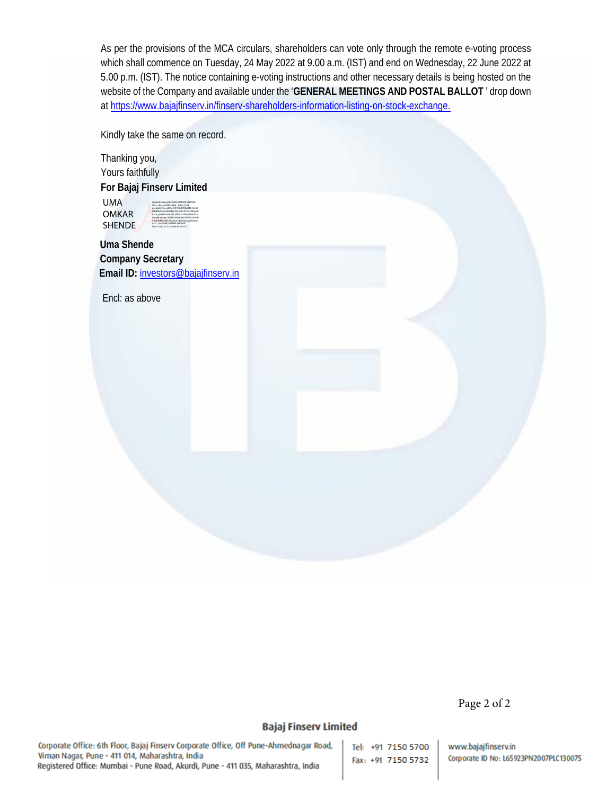As per the provisions of the MCA circulars, shareholders can vote only through the remote e-voting process which shall commence on Tuesday, 24 May 2022 at 9.00 a.m. (IST) and end on Wednesday, 22 June 2022 at 5.00 p.m. (IST). The notice containing e-voting instructions and other necessary details is being hosted on the website of the Company and available under the '**GENERAL MEETINGS AND POSTAL BALLOT** ' drop down at https://www.bajajfinserv.in/finserv-shareholders-information-listing-on-stock-exchange.

Kindly take the same on record.

Thanking you, Yours faithfully **For Bajaj Finserv Limited Uma Shende Company Secretary**  Email ID: investors@bajajfinserv.in Encl: as above UMA OMKAR **SHENDE** Digitally signed by UMA OMKAR SHENDE DN: c=IN, o=PERSONAL, title=0163, pseudonym=e275ef597b9ef050a83b1a558 60b88639abc40dd6e3e2ebb107cb209eeed 57aa, postalCode=411009, st=Maharashtra, serialNumber=36d920508d8616fe762816fb 91ba0bfe079a571ac0ce73c7622aa00e240c aa3c, cn=UMA OMKAR SHENDE Date: 2022.05.23 20:04:55 +05'30'

Page 2 of 2

# **Bajaj Finserv Limited**

Corporate Office: 6th Floor, Bajaj Finserv Corporate Office, Off Pune-Ahmednagar Road, Viman Nagar, Pune - 411 014, Maharashtra, India Registered Office: Mumbai - Pune Road, Akurdi, Pune - 411 035, Maharashtra, India

Tel: +91 7150 5700 Fax: +91 7150 5732

www.bajajfinserv.in Corporate ID No: L65923PN2007PLC130075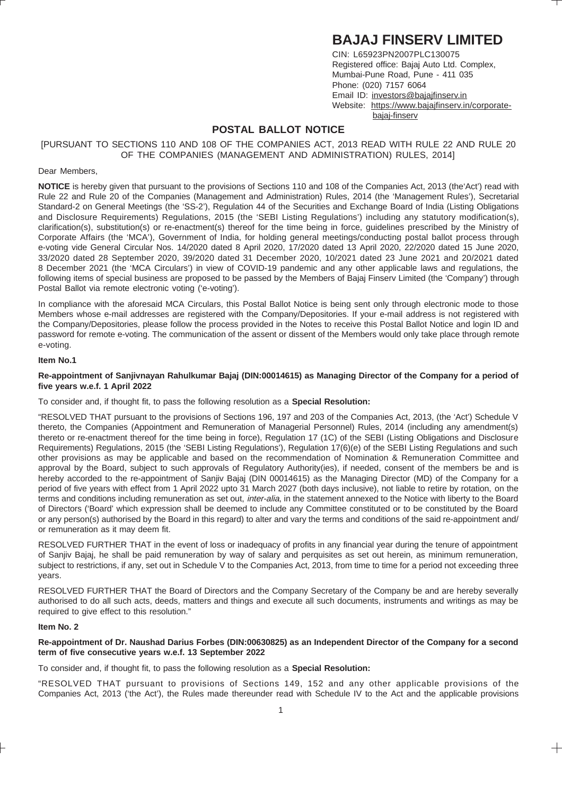# **BAJAJ FINSERV LIMITED**

CIN: L65923PN2007PLC130075 Registered office: Bajaj Auto Ltd. Complex, Mumbai-Pune Road, Pune - 411 035 Phone: (020) 7157 6064 Email ID: investors@bajajfinserv.in Website: https://www.bajajfinserv.in/corporatebajaj-finserv

# **POSTAL BALLOT NOTICE**

[PURSUANT TO SECTIONS 110 AND 108 OF THE COMPANIES ACT, 2013 READ WITH RULE 22 AND RULE 20 OF THE COMPANIES (MANAGEMENT AND ADMINISTRATION) RULES, 2014]

#### Dear Members,

**NOTICE** is hereby given that pursuant to the provisions of Sections 110 and 108 of the Companies Act, 2013 (the'Act') read with Rule 22 and Rule 20 of the Companies (Management and Administration) Rules, 2014 (the 'Management Rules'), Secretarial Standard-2 on General Meetings (the 'SS-2'), Regulation 44 of the Securities and Exchange Board of India (Listing Obligations and Disclosure Requirements) Regulations, 2015 (the 'SEBI Listing Regulations') including any statutory modification(s), clarification(s), substitution(s) or re-enactment(s) thereof for the time being in force, guidelines prescribed by the Ministry of Corporate Affairs (the 'MCA'), Government of India, for holding general meetings/conducting postal ballot process through e-voting vide General Circular Nos. 14/2020 dated 8 April 2020, 17/2020 dated 13 April 2020, 22/2020 dated 15 June 2020, 33/2020 dated 28 September 2020, 39/2020 dated 31 December 2020, 10/2021 dated 23 June 2021 and 20/2021 dated 8 December 2021 (the 'MCA Circulars') in view of COVID-19 pandemic and any other applicable laws and regulations, the following items of special business are proposed to be passed by the Members of Bajaj Finserv Limited (the 'Company') through Postal Ballot via remote electronic voting ('e-voting').

In compliance with the aforesaid MCA Circulars, this Postal Ballot Notice is being sent only through electronic mode to those Members whose e-mail addresses are registered with the Company/Depositories. If your e-mail address is not registered with the Company/Depositories, please follow the process provided in the Notes to receive this Postal Ballot Notice and login ID and password for remote e-voting. The communication of the assent or dissent of the Members would only take place through remote e-voting.

#### **Item No.1**

#### **Re-appointment of Sanjivnayan Rahulkumar Bajaj (DIN:00014615) as Managing Director of the Company for a period of five years w.e.f. 1 April 2022**

To consider and, if thought fit, to pass the following resolution as a **Special Resolution:**

"RESOLVED THAT pursuant to the provisions of Sections 196, 197 and 203 of the Companies Act, 2013, (the 'Act') Schedule V thereto, the Companies (Appointment and Remuneration of Managerial Personnel) Rules, 2014 (including any amendment(s) thereto or re-enactment thereof for the time being in force), Regulation 17 (1C) of the SEBI (Listing Obligations and Disclosure Requirements) Regulations, 2015 (the 'SEBI Listing Regulations'), Regulation 17(6)(e) of the SEBI Listing Regulations and such other provisions as may be applicable and based on the recommendation of Nomination & Remuneration Committee and approval by the Board, subject to such approvals of Regulatory Authority(ies), if needed, consent of the members be and is hereby accorded to the re-appointment of Sanjiv Bajaj (DIN 00014615) as the Managing Director (MD) of the Company for a period of five years with effect from 1 April 2022 upto 31 March 2027 (both days inclusive), not liable to retire by rotation, on the terms and conditions including remuneration as set out, *inter-alia*, in the statement annexed to the Notice with liberty to the Board of Directors ('Board' which expression shall be deemed to include any Committee constituted or to be constituted by the Board or any person(s) authorised by the Board in this regard) to alter and vary the terms and conditions of the said re-appointment and/ or remuneration as it may deem fit.

RESOLVED FURTHER THAT in the event of loss or inadequacy of profits in any financial year during the tenure of appointment of Sanjiv Bajaj, he shall be paid remuneration by way of salary and perquisites as set out herein, as minimum remuneration, subject to restrictions, if any, set out in Schedule V to the Companies Act, 2013, from time to time for a period not exceeding three years.

RESOLVED FURTHER THAT the Board of Directors and the Company Secretary of the Company be and are hereby severally authorised to do all such acts, deeds, matters and things and execute all such documents, instruments and writings as may be required to give effect to this resolution."

#### **Item No. 2**

### **Re-appointment of Dr. Naushad Darius Forbes (DIN:00630825) as an Independent Director of the Company for a second term of five consecutive years w.e.f. 13 September 2022**

To consider and, if thought fit, to pass the following resolution as a **Special Resolution:**

"RESOLVED THAT pursuant to provisions of Sections 149, 152 and any other applicable provisions of the Companies Act, 2013 ('the Act'), the Rules made thereunder read with Schedule IV to the Act and the applicable provisions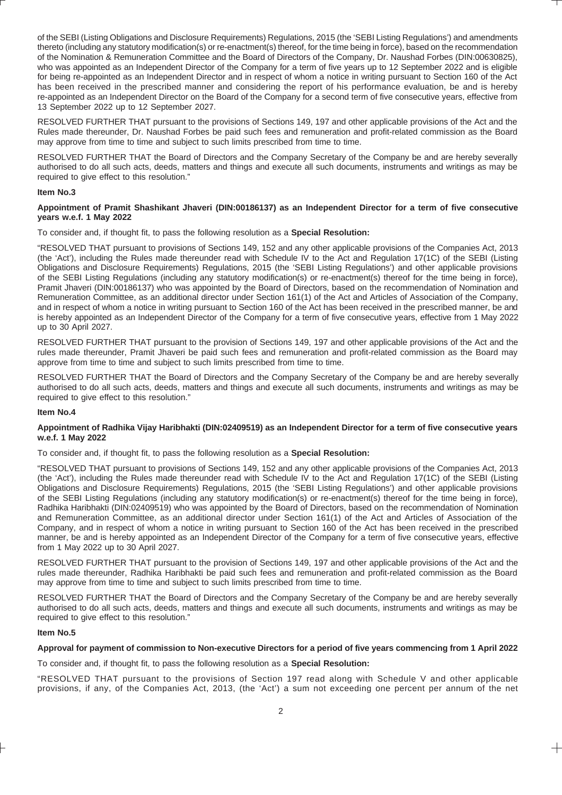of the SEBI (Listing Obligations and Disclosure Requirements) Regulations, 2015 (the 'SEBI Listing Regulations') and amendments thereto (including any statutory modification(s) or re-enactment(s) thereof, for the time being in force), based on the recommendation of the Nomination & Remuneration Committee and the Board of Directors of the Company, Dr. Naushad Forbes (DIN:00630825), who was appointed as an Independent Director of the Company for a term of five years up to 12 September 2022 and is eligible for being re-appointed as an Independent Director and in respect of whom a notice in writing pursuant to Section 160 of the Act has been received in the prescribed manner and considering the report of his performance evaluation, be and is hereby re-appointed as an Independent Director on the Board of the Company for a second term of five consecutive years, effective from 13 September 2022 up to 12 September 2027.

RESOLVED FURTHER THAT pursuant to the provisions of Sections 149, 197 and other applicable provisions of the Act and the Rules made thereunder, Dr. Naushad Forbes be paid such fees and remuneration and profit-related commission as the Board may approve from time to time and subject to such limits prescribed from time to time.

RESOLVED FURTHER THAT the Board of Directors and the Company Secretary of the Company be and are hereby severally authorised to do all such acts, deeds, matters and things and execute all such documents, instruments and writings as may be required to give effect to this resolution."

#### **Item No.3**

#### **Appointment of Pramit Shashikant Jhaveri (DIN:00186137) as an Independent Director for a term of five consecutive years w.e.f. 1 May 2022**

To consider and, if thought fit, to pass the following resolution as a **Special Resolution:**

"RESOLVED THAT pursuant to provisions of Sections 149, 152 and any other applicable provisions of the Companies Act, 2013 (the 'Act'), including the Rules made thereunder read with Schedule IV to the Act and Regulation 17(1C) of the SEBI (Listing Obligations and Disclosure Requirements) Regulations, 2015 (the 'SEBI Listing Regulations') and other applicable provisions of the SEBI Listing Regulations (including any statutory modification(s) or re-enactment(s) thereof for the time being in force), Pramit Jhaveri (DIN:00186137) who was appointed by the Board of Directors, based on the recommendation of Nomination and Remuneration Committee, as an additional director under Section 161(1) of the Act and Articles of Association of the Company, and in respect of whom a notice in writing pursuant to Section 160 of the Act has been received in the prescribed manner, be and is hereby appointed as an Independent Director of the Company for a term of five consecutive years, effective from 1 May 2022 up to 30 April 2027.

RESOLVED FURTHER THAT pursuant to the provision of Sections 149, 197 and other applicable provisions of the Act and the rules made thereunder, Pramit Jhaveri be paid such fees and remuneration and profit-related commission as the Board may approve from time to time and subject to such limits prescribed from time to time.

RESOLVED FURTHER THAT the Board of Directors and the Company Secretary of the Company be and are hereby severally authorised to do all such acts, deeds, matters and things and execute all such documents, instruments and writings as may be required to give effect to this resolution."

#### **Item No.4**

## **Appointment of Radhika Vijay Haribhakti (DIN:02409519) as an Independent Director for a term of five consecutive years w.e.f. 1 May 2022**

To consider and, if thought fit, to pass the following resolution as a **Special Resolution:**

"RESOLVED THAT pursuant to provisions of Sections 149, 152 and any other applicable provisions of the Companies Act, 2013 (the 'Act'), including the Rules made thereunder read with Schedule IV to the Act and Regulation 17(1C) of the SEBI (Listing Obligations and Disclosure Requirements) Regulations, 2015 (the 'SEBI Listing Regulations') and other applicable provisions of the SEBI Listing Regulations (including any statutory modification(s) or re-enactment(s) thereof for the time being in force), Radhika Haribhakti (DIN:02409519) who was appointed by the Board of Directors, based on the recommendation of Nomination and Remuneration Committee, as an additional director under Section 161(1) of the Act and Articles of Association of the Company, and in respect of whom a notice in writing pursuant to Section 160 of the Act has been received in the prescribed manner, be and is hereby appointed as an Independent Director of the Company for a term of five consecutive years, effective from 1 May 2022 up to 30 April 2027.

RESOLVED FURTHER THAT pursuant to the provision of Sections 149, 197 and other applicable provisions of the Act and the rules made thereunder, Radhika Haribhakti be paid such fees and remuneration and profit-related commission as the Board may approve from time to time and subject to such limits prescribed from time to time.

RESOLVED FURTHER THAT the Board of Directors and the Company Secretary of the Company be and are hereby severally authorised to do all such acts, deeds, matters and things and execute all such documents, instruments and writings as may be required to give effect to this resolution."

#### **Item No.5**

#### **Approval for payment of commission to Non-executive Directors for a period of five years commencing from 1 April 2022**

To consider and, if thought fit, to pass the following resolution as a **Special Resolution:**

"RESOLVED THAT pursuant to the provisions of Section 197 read along with Schedule V and other applicable provisions, if any, of the Companies Act, 2013, (the 'Act') a sum not exceeding one percent per annum of the net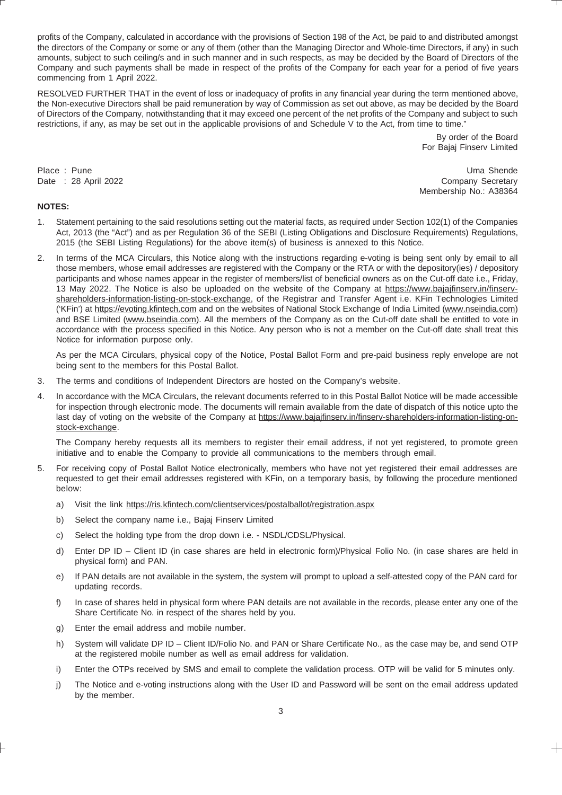profits of the Company, calculated in accordance with the provisions of Section 198 of the Act, be paid to and distributed amongst the directors of the Company or some or any of them (other than the Managing Director and Whole-time Directors, if any) in such amounts, subject to such ceiling/s and in such manner and in such respects, as may be decided by the Board of Directors of the Company and such payments shall be made in respect of the profits of the Company for each year for a period of five years commencing from 1 April 2022.

RESOLVED FURTHER THAT in the event of loss or inadequacy of profits in any financial year during the term mentioned above, the Non-executive Directors shall be paid remuneration by way of Commission as set out above, as may be decided by the Board of Directors of the Company, notwithstanding that it may exceed one percent of the net profits of the Company and subject to such restrictions, if any, as may be set out in the applicable provisions of and Schedule V to the Act, from time to time."

> By order of the Board For Bajaj Finserv Limited

Place : Pune Uma Shende Uma Shende Uma Shende Uma Shende Uma Shende Uma Shende Uma Shende Date : 28 April 2022 **Company Secretary** Membership No.: A38364

# **NOTES:**

- 1. Statement pertaining to the said resolutions setting out the material facts, as required under Section 102(1) of the Companies Act, 2013 (the "Act") and as per Regulation 36 of the SEBI (Listing Obligations and Disclosure Requirements) Regulations, 2015 (the SEBI Listing Regulations) for the above item(s) of business is annexed to this Notice.
- 2. In terms of the MCA Circulars, this Notice along with the instructions regarding e-voting is being sent only by email to all those members, whose email addresses are registered with the Company or the RTA or with the depository(ies) / depository participants and whose names appear in the register of members/list of beneficial owners as on the Cut-off date i.e., Friday, 13 May 2022. The Notice is also be uploaded on the website of the Company at https://www.bajajfinserv.in/finservshareholders-information-listing-on-stock-exchange, of the Registrar and Transfer Agent i.e. KFin Technologies Limited ('KFin') at https://evoting.kfintech.com and on the websites of National Stock Exchange of India Limited (www.nseindia.com) and BSE Limited (www.bseindia.com). All the members of the Company as on the Cut-off date shall be entitled to vote in accordance with the process specified in this Notice. Any person who is not a member on the Cut-off date shall treat this Notice for information purpose only.

As per the MCA Circulars, physical copy of the Notice, Postal Ballot Form and pre-paid business reply envelope are not being sent to the members for this Postal Ballot.

- 3. The terms and conditions of Independent Directors are hosted on the Company's website.
- 4. In accordance with the MCA Circulars, the relevant documents referred to in this Postal Ballot Notice will be made accessible for inspection through electronic mode. The documents will remain available from the date of dispatch of this notice upto the last day of voting on the website of the Company at https://www.bajajfinserv.in/finserv-shareholders-information-listing-onstock-exchange.

The Company hereby requests all its members to register their email address, if not yet registered, to promote green initiative and to enable the Company to provide all communications to the members through email.

- 5. For receiving copy of Postal Ballot Notice electronically, members who have not yet registered their email addresses are requested to get their email addresses registered with KFin, on a temporary basis, by following the procedure mentioned below:
	- a) Visit the link https://ris.kfintech.com/clientservices/postalballot/registration.aspx
	- b) Select the company name i.e., Bajaj Finserv Limited
	- c) Select the holding type from the drop down i.e. NSDL/CDSL/Physical.
	- d) Enter DP ID Client ID (in case shares are held in electronic form)/Physical Folio No. (in case shares are held in physical form) and PAN.
	- e) If PAN details are not available in the system, the system will prompt to upload a self-attested copy of the PAN card for updating records.
	- f) In case of shares held in physical form where PAN details are not available in the records, please enter any one of the Share Certificate No. in respect of the shares held by you.
	- g) Enter the email address and mobile number.
	- h) System will validate DP ID Client ID/Folio No. and PAN or Share Certificate No., as the case may be, and send OTP at the registered mobile number as well as email address for validation.
	- i) Enter the OTPs received by SMS and email to complete the validation process. OTP will be valid for 5 minutes only.
	- j) The Notice and e-voting instructions along with the User ID and Password will be sent on the email address updated by the member.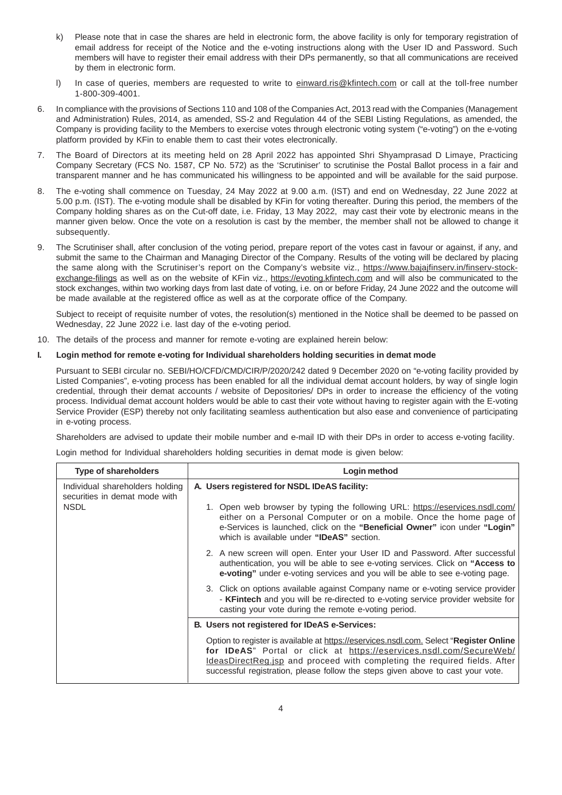- k) Please note that in case the shares are held in electronic form, the above facility is only for temporary registration of email address for receipt of the Notice and the e-voting instructions along with the User ID and Password. Such members will have to register their email address with their DPs permanently, so that all communications are received by them in electronic form.
- I) In case of queries, members are requested to write to einward.ris@kfintech.com or call at the toll-free number 1-800-309-4001.
- 6. In compliance with the provisions of Sections 110 and 108 of the Companies Act, 2013 read with the Companies (Management and Administration) Rules, 2014, as amended, SS-2 and Regulation 44 of the SEBI Listing Regulations, as amended, the Company is providing facility to the Members to exercise votes through electronic voting system ("e-voting") on the e-voting platform provided by KFin to enable them to cast their votes electronically.
- 7. The Board of Directors at its meeting held on 28 April 2022 has appointed Shri Shyamprasad D Limaye, Practicing Company Secretary (FCS No. 1587, CP No. 572) as the 'Scrutiniser' to scrutinise the Postal Ballot process in a fair and transparent manner and he has communicated his willingness to be appointed and will be available for the said purpose.
- 8. The e-voting shall commence on Tuesday, 24 May 2022 at 9.00 a.m. (IST) and end on Wednesday, 22 June 2022 at 5.00 p.m. (IST). The e-voting module shall be disabled by KFin for voting thereafter. During this period, the members of the Company holding shares as on the Cut-off date, i.e. Friday, 13 May 2022, may cast their vote by electronic means in the manner given below. Once the vote on a resolution is cast by the member, the member shall not be allowed to change it subsequently.
- 9. The Scrutiniser shall, after conclusion of the voting period, prepare report of the votes cast in favour or against, if any, and submit the same to the Chairman and Managing Director of the Company. Results of the voting will be declared by placing the same along with the Scrutiniser's report on the Company's website viz., https://www.bajajfinserv.in/finserv-stockexchange-filings as well as on the website of KFin viz., https://evoting.kfintech.com and will also be communicated to the stock exchanges, within two working days from last date of voting, i.e. on or before Friday, 24 June 2022 and the outcome will be made available at the registered office as well as at the corporate office of the Company.

Subject to receipt of requisite number of votes, the resolution(s) mentioned in the Notice shall be deemed to be passed on Wednesday, 22 June 2022 i.e. last day of the e-voting period.

10. The details of the process and manner for remote e-voting are explained herein below:

# **I. Login method for remote e-voting for Individual shareholders holding securities in demat mode**

Pursuant to SEBI circular no. SEBI/HO/CFD/CMD/CIR/P/2020/242 dated 9 December 2020 on "e-voting facility provided by Listed Companies", e-voting process has been enabled for all the individual demat account holders, by way of single login credential, through their demat accounts / website of Depositories/ DPs in order to increase the efficiency of the voting process. Individual demat account holders would be able to cast their vote without having to register again with the E-voting Service Provider (ESP) thereby not only facilitating seamless authentication but also ease and convenience of participating in e-voting process.

Shareholders are advised to update their mobile number and e-mail ID with their DPs in order to access e-voting facility.

Login method for Individual shareholders holding securities in demat mode is given below:

| <b>Type of shareholders</b>                                                     | Login method                                                                                                                                                                                                                                                                                                                          |
|---------------------------------------------------------------------------------|---------------------------------------------------------------------------------------------------------------------------------------------------------------------------------------------------------------------------------------------------------------------------------------------------------------------------------------|
| Individual shareholders holding<br>securities in demat mode with<br><b>NSDL</b> | A. Users registered for NSDL IDeAS facility:<br>1. Open web browser by typing the following URL: https://eservices.nsdl.com/<br>either on a Personal Computer or on a mobile. Once the home page of<br>e-Services is launched, click on the "Beneficial Owner" icon under "Login"<br>which is available under "IDeAS" section.        |
|                                                                                 | 2. A new screen will open. Enter your User ID and Password. After successful<br>authentication, you will be able to see e-voting services. Click on "Access to<br>e-voting" under e-voting services and you will be able to see e-voting page.                                                                                        |
|                                                                                 | 3. Click on options available against Company name or e-voting service provider<br>- <b>KFintech</b> and you will be re-directed to e-voting service provider website for<br>casting your vote during the remote e-voting period.                                                                                                     |
|                                                                                 | B. Users not registered for IDeAS e-Services:                                                                                                                                                                                                                                                                                         |
|                                                                                 | Option to register is available at https://eservices.nsdl.com. Select "Register Online"<br>for IDeAS" Portal or click at https://eservices.nsdl.com/SecureWeb/<br><b>IdeasDirectReg.jsp</b> and proceed with completing the required fields. After<br>successful registration, please follow the steps given above to cast your vote. |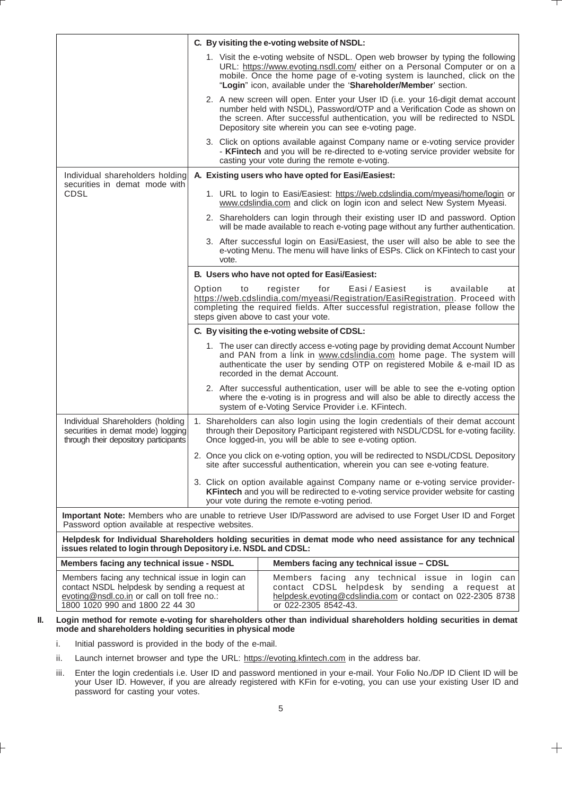|                                                                                                                                                                                     |                                                      | C. By visiting the e-voting website of NSDL:                                                                                                                                                                                                                                                              |
|-------------------------------------------------------------------------------------------------------------------------------------------------------------------------------------|------------------------------------------------------|-----------------------------------------------------------------------------------------------------------------------------------------------------------------------------------------------------------------------------------------------------------------------------------------------------------|
|                                                                                                                                                                                     |                                                      | 1. Visit the e-voting website of NSDL. Open web browser by typing the following<br>URL: https://www.evoting.nsdl.com/ either on a Personal Computer or on a<br>mobile. Once the home page of e-voting system is launched, click on the<br>"Login" icon, available under the 'Shareholder/Member' section. |
|                                                                                                                                                                                     |                                                      | 2. A new screen will open. Enter your User ID (i.e. your 16-digit demat account<br>number held with NSDL), Password/OTP and a Verification Code as shown on<br>the screen. After successful authentication, you will be redirected to NSDL<br>Depository site wherein you can see e-voting page.          |
|                                                                                                                                                                                     |                                                      | 3. Click on options available against Company name or e-voting service provider<br>- KFintech and you will be re-directed to e-voting service provider website for<br>casting your vote during the remote e-voting.                                                                                       |
| Individual shareholders holding<br>securities in demat mode with                                                                                                                    |                                                      | A. Existing users who have opted for Easi/Easiest:                                                                                                                                                                                                                                                        |
| CDSL                                                                                                                                                                                |                                                      | 1. URL to login to Easi/Easiest: https://web.cdslindia.com/myeasi/home/login or<br>www.cdslindia.com and click on login icon and select New System Myeasi.                                                                                                                                                |
|                                                                                                                                                                                     |                                                      | 2. Shareholders can login through their existing user ID and password. Option<br>will be made available to reach e-voting page without any further authentication.                                                                                                                                        |
|                                                                                                                                                                                     | vote.                                                | 3. After successful login on Easi/Easiest, the user will also be able to see the<br>e-voting Menu. The menu will have links of ESPs. Click on KFintech to cast your                                                                                                                                       |
|                                                                                                                                                                                     |                                                      | B. Users who have not opted for Easi/Easiest:                                                                                                                                                                                                                                                             |
|                                                                                                                                                                                     | Option<br>to<br>steps given above to cast your vote. | Easi / Easiest<br>register<br>for<br>available<br>is<br>at<br>https://web.cdslindia.com/myeasi/Registration/EasiRegistration. Proceed with<br>completing the required fields. After successful registration, please follow the                                                                            |
|                                                                                                                                                                                     |                                                      | C. By visiting the e-voting website of CDSL:                                                                                                                                                                                                                                                              |
|                                                                                                                                                                                     |                                                      | 1. The user can directly access e-voting page by providing demat Account Number<br>and PAN from a link in www.cdslindia.com home page. The system will<br>authenticate the user by sending OTP on registered Mobile & e-mail ID as<br>recorded in the demat Account.                                      |
|                                                                                                                                                                                     |                                                      | 2. After successful authentication, user will be able to see the e-voting option<br>where the e-voting is in progress and will also be able to directly access the<br>system of e-Voting Service Provider i.e. KFintech.                                                                                  |
| Individual Shareholders (holding<br>securities in demat mode) logging<br>through their depository participants                                                                      |                                                      | 1. Shareholders can also login using the login credentials of their demat account<br>through their Depository Participant registered with NSDL/CDSL for e-voting facility.<br>Once logged-in, you will be able to see e-voting option.                                                                    |
|                                                                                                                                                                                     |                                                      | 2. Once you click on e-voting option, you will be redirected to NSDL/CDSL Depository<br>site after successful authentication, wherein you can see e-voting feature.                                                                                                                                       |
|                                                                                                                                                                                     |                                                      | 3. Click on option available against Company name or e-voting service provider-<br><b>KFintech</b> and you will be redirected to e-voting service provider website for casting<br>your vote during the remote e-voting period.                                                                            |
| Password option available at respective websites.                                                                                                                                   |                                                      | Important Note: Members who are unable to retrieve User ID/Password are advised to use Forget User ID and Forget                                                                                                                                                                                          |
| issues related to login through Depository i.e. NSDL and CDSL:                                                                                                                      |                                                      | Helpdesk for Individual Shareholders holding securities in demat mode who need assistance for any technical                                                                                                                                                                                               |
| Members facing any technical issue - NSDL                                                                                                                                           |                                                      | Members facing any technical issue - CDSL                                                                                                                                                                                                                                                                 |
| Members facing any technical issue in login can<br>contact NSDL helpdesk by sending a request at<br>evoting@nsdl.co.in or call on toll free no.:<br>1800 1020 990 and 1800 22 44 30 |                                                      | Members facing any technical issue in login can<br>contact CDSL helpdesk by sending a request at<br>helpdesk.evoting@cdslindia.com or contact on 022-2305 8738<br>or 022-2305 8542-43.                                                                                                                    |

#### **II. Login method for remote e-voting for shareholders other than individual shareholders holding securities in demat mode and shareholders holding securities in physical mode**

- i. Initial password is provided in the body of the e-mail.
- ii. Launch internet browser and type the URL: https://evoting.kfintech.com in the address bar.
- iii. Enter the login credentials i.e. User ID and password mentioned in your e-mail. Your Folio No./DP ID Client ID will be your User ID. However, if you are already registered with KFin for e-voting, you can use your existing User ID and password for casting your votes.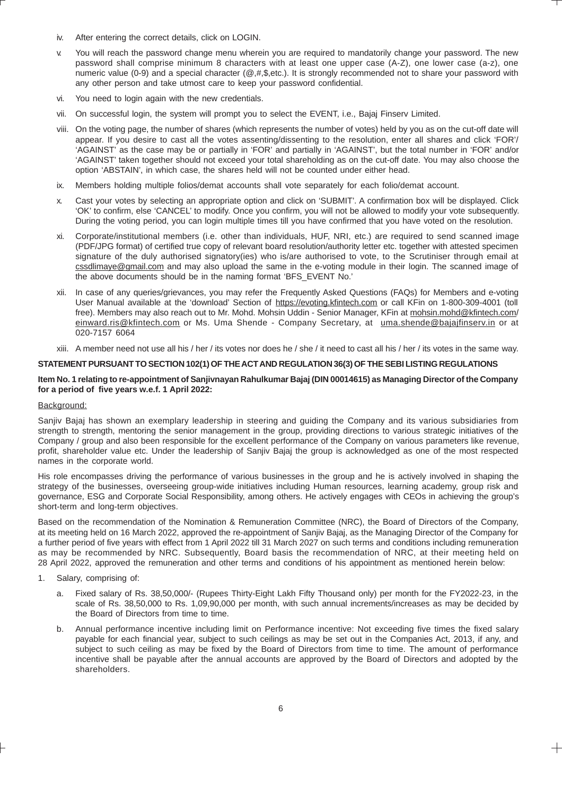- iv. After entering the correct details, click on LOGIN.
- v. You will reach the password change menu wherein you are required to mandatorily change your password. The new password shall comprise minimum 8 characters with at least one upper case (A-Z), one lower case (a-z), one numeric value (0-9) and a special character (@,#,\$,etc.). It is strongly recommended not to share your password with any other person and take utmost care to keep your password confidential.
- vi. You need to login again with the new credentials.
- vii. On successful login, the system will prompt you to select the EVENT, i.e., Bajaj Finserv Limited.
- viii. On the voting page, the number of shares (which represents the number of votes) held by you as on the cut-off date will appear. If you desire to cast all the votes assenting/dissenting to the resolution, enter all shares and click 'FOR'/ 'AGAINST' as the case may be or partially in 'FOR' and partially in 'AGAINST', but the total number in 'FOR' and/or 'AGAINST' taken together should not exceed your total shareholding as on the cut-off date. You may also choose the option 'ABSTAIN', in which case, the shares held will not be counted under either head.
- ix. Members holding multiple folios/demat accounts shall vote separately for each folio/demat account.
- x. Cast your votes by selecting an appropriate option and click on 'SUBMIT'. A confirmation box will be displayed. Click 'OK' to confirm, else 'CANCEL' to modify. Once you confirm, you will not be allowed to modify your vote subsequently. During the voting period, you can login multiple times till you have confirmed that you have voted on the resolution.
- xi. Corporate/institutional members (i.e. other than individuals, HUF, NRI, etc.) are required to send scanned image (PDF/JPG format) of certified true copy of relevant board resolution/authority letter etc. together with attested specimen signature of the duly authorised signatory(ies) who is/are authorised to vote, to the Scrutiniser through email at cssdlimaye@gmail.com and may also upload the same in the e-voting module in their login. The scanned image of the above documents should be in the naming format 'BFS\_EVENT No.'
- xii. In case of any queries/grievances, you may refer the Frequently Asked Questions (FAQs) for Members and e-voting User Manual available at the 'download' Section of https://evoting.kfintech.com or call KFin on 1-800-309-4001 (toll free). Members may also reach out to Mr. Mohd. Mohsin Uddin - Senior Manager, KFin at mohsin.mohd@kfintech.com/ einward.ris@kfintech.com or Ms. Uma Shende - Company Secretary, at uma.shende@bajajfinserv.in or at 020-7157 6064
- xiii. A member need not use all his / her / its votes nor does he / she / it need to cast all his / her / its votes in the same way.

#### **STATEMENT PURSUANT TO SECTION 102(1) OF THE ACT AND REGULATION 36(3) OF THE SEBI LISTING REGULATIONS**

#### **Item No. 1 relating to re-appointment of Sanjivnayan Rahulkumar Bajaj (DIN 00014615) as Managing Director of the Company for a period of five years w.e.f. 1 April 2022:**

#### Background:

Sanjiv Bajaj has shown an exemplary leadership in steering and guiding the Company and its various subsidiaries from strength to strength, mentoring the senior management in the group, providing directions to various strategic initiatives of the Company / group and also been responsible for the excellent performance of the Company on various parameters like revenue, profit, shareholder value etc. Under the leadership of Sanjiv Bajaj the group is acknowledged as one of the most respected names in the corporate world.

His role encompasses driving the performance of various businesses in the group and he is actively involved in shaping the strategy of the businesses, overseeing group-wide initiatives including Human resources, learning academy, group risk and governance, ESG and Corporate Social Responsibility, among others. He actively engages with CEOs in achieving the group's short-term and long-term objectives.

Based on the recommendation of the Nomination & Remuneration Committee (NRC), the Board of Directors of the Company, at its meeting held on 16 March 2022, approved the re-appointment of Sanjiv Bajaj, as the Managing Director of the Company for a further period of five years with effect from 1 April 2022 till 31 March 2027 on such terms and conditions including remuneration as may be recommended by NRC. Subsequently, Board basis the recommendation of NRC, at their meeting held on 28 April 2022, approved the remuneration and other terms and conditions of his appointment as mentioned herein below:

- 1. Salary, comprising of:
	- a. Fixed salary of Rs. 38,50,000/- (Rupees Thirty-Eight Lakh Fifty Thousand only) per month for the FY2022-23, in the scale of Rs. 38,50,000 to Rs. 1,09,90,000 per month, with such annual increments/increases as may be decided by the Board of Directors from time to time.
	- b. Annual performance incentive including limit on Performance incentive: Not exceeding five times the fixed salary payable for each financial year, subject to such ceilings as may be set out in the Companies Act, 2013, if any, and subject to such ceiling as may be fixed by the Board of Directors from time to time. The amount of performance incentive shall be payable after the annual accounts are approved by the Board of Directors and adopted by the shareholders.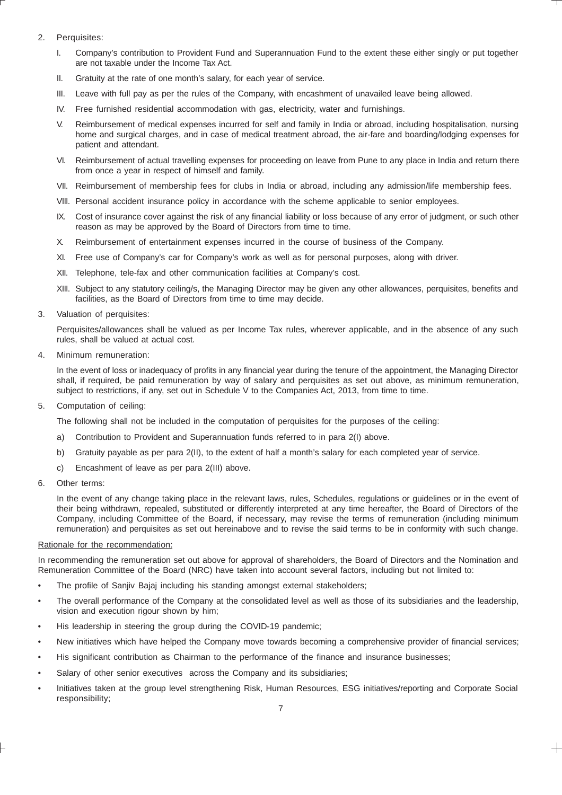# 2. Perquisites:

- I. Company's contribution to Provident Fund and Superannuation Fund to the extent these either singly or put together are not taxable under the Income Tax Act.
- II. Gratuity at the rate of one month's salary, for each year of service.
- III. Leave with full pay as per the rules of the Company, with encashment of unavailed leave being allowed.
- IV. Free furnished residential accommodation with gas, electricity, water and furnishings.
- V. Reimbursement of medical expenses incurred for self and family in India or abroad, including hospitalisation, nursing home and surgical charges, and in case of medical treatment abroad, the air-fare and boarding/lodging expenses for patient and attendant.
- VI. Reimbursement of actual travelling expenses for proceeding on leave from Pune to any place in India and return there from once a year in respect of himself and family.
- VII. Reimbursement of membership fees for clubs in India or abroad, including any admission/life membership fees.
- VIII. Personal accident insurance policy in accordance with the scheme applicable to senior employees.
- IX. Cost of insurance cover against the risk of any financial liability or loss because of any error of judgment, or such other reason as may be approved by the Board of Directors from time to time.
- X. Reimbursement of entertainment expenses incurred in the course of business of the Company.
- XI. Free use of Company's car for Company's work as well as for personal purposes, along with driver.
- XII. Telephone, tele-fax and other communication facilities at Company's cost.
- XIII. Subject to any statutory ceiling/s, the Managing Director may be given any other allowances, perquisites, benefits and facilities, as the Board of Directors from time to time may decide.
- 3. Valuation of perquisites:

Perquisites/allowances shall be valued as per Income Tax rules, wherever applicable, and in the absence of any such rules, shall be valued at actual cost.

4. Minimum remuneration:

In the event of loss or inadequacy of profits in any financial year during the tenure of the appointment, the Managing Director shall, if required, be paid remuneration by way of salary and perquisites as set out above, as minimum remuneration, subject to restrictions, if any, set out in Schedule V to the Companies Act, 2013, from time to time.

5. Computation of ceiling:

The following shall not be included in the computation of perquisites for the purposes of the ceiling:

- a) Contribution to Provident and Superannuation funds referred to in para 2(I) above.
- b) Gratuity payable as per para 2(II), to the extent of half a month's salary for each completed year of service.
- c) Encashment of leave as per para 2(III) above.
- 6. Other terms:

In the event of any change taking place in the relevant laws, rules, Schedules, regulations or guidelines or in the event of their being withdrawn, repealed, substituted or differently interpreted at any time hereafter, the Board of Directors of the Company, including Committee of the Board, if necessary, may revise the terms of remuneration (including minimum remuneration) and perquisites as set out hereinabove and to revise the said terms to be in conformity with such change.

## Rationale for the recommendation:

In recommending the remuneration set out above for approval of shareholders, the Board of Directors and the Nomination and Remuneration Committee of the Board (NRC) have taken into account several factors, including but not limited to:

- The profile of Saniiv Baiai including his standing amongst external stakeholders;
- The overall performance of the Company at the consolidated level as well as those of its subsidiaries and the leadership, vision and execution rigour shown by him;
- His leadership in steering the group during the COVID-19 pandemic;
- New initiatives which have helped the Company move towards becoming a comprehensive provider of financial services;
- His significant contribution as Chairman to the performance of the finance and insurance businesses;
- Salary of other senior executives across the Company and its subsidiaries;
- Initiatives taken at the group level strengthening Risk, Human Resources, ESG initiatives/reporting and Corporate Social responsibility;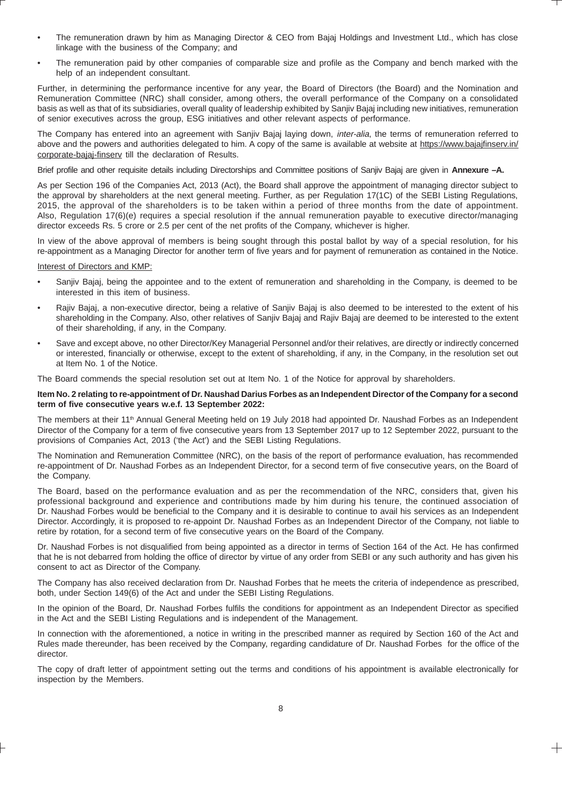- The remuneration drawn by him as Managing Director & CEO from Bajaj Holdings and Investment Ltd., which has close linkage with the business of the Company; and
- The remuneration paid by other companies of comparable size and profile as the Company and bench marked with the help of an independent consultant.

Further, in determining the performance incentive for any year, the Board of Directors (the Board) and the Nomination and Remuneration Committee (NRC) shall consider, among others, the overall performance of the Company on a consolidated basis as well as that of its subsidiaries, overall quality of leadership exhibited by Sanjiv Bajaj including new initiatives, remuneration of senior executives across the group, ESG initiatives and other relevant aspects of performance.

The Company has entered into an agreement with Sanjiv Bajaj laying down, inter-alia, the terms of remuneration referred to above and the powers and authorities delegated to him. A copy of the same is available at website at https://www.bajajfinserv.in/ corporate-bajaj-finserv till the declaration of Results.

Brief profile and other requisite details including Directorships and Committee positions of Sanjiv Bajaj are given in **Annexure –A.**

As per Section 196 of the Companies Act, 2013 (Act), the Board shall approve the appointment of managing director subject to the approval by shareholders at the next general meeting. Further, as per Regulation 17(1C) of the SEBI Listing Regulations, 2015, the approval of the shareholders is to be taken within a period of three months from the date of appointment. Also, Regulation 17(6)(e) requires a special resolution if the annual remuneration payable to executive director/managing director exceeds Rs. 5 crore or 2.5 per cent of the net profits of the Company, whichever is higher.

In view of the above approval of members is being sought through this postal ballot by way of a special resolution, for his re-appointment as a Managing Director for another term of five years and for payment of remuneration as contained in the Notice.

#### Interest of Directors and KMP:

- Sanjiv Bajaj, being the appointee and to the extent of remuneration and shareholding in the Company, is deemed to be interested in this item of business.
- Rajiv Bajaj, a non-executive director, being a relative of Sanjiv Bajaj is also deemed to be interested to the extent of his shareholding in the Company. Also, other relatives of Sanjiv Bajaj and Rajiv Bajaj are deemed to be interested to the extent of their shareholding, if any, in the Company.
- Save and except above, no other Director/Key Managerial Personnel and/or their relatives, are directly or indirectly concerned or interested, financially or otherwise, except to the extent of shareholding, if any, in the Company, in the resolution set out at Item No. 1 of the Notice.

The Board commends the special resolution set out at Item No. 1 of the Notice for approval by shareholders.

#### **Item No. 2 relating to re-appointment of Dr. Naushad Darius Forbes as an Independent Director of the Company for a second term of five consecutive years w.e.f. 13 September 2022:**

The members at their 11<sup>th</sup> Annual General Meeting held on 19 July 2018 had appointed Dr. Naushad Forbes as an Independent Director of the Company for a term of five consecutive years from 13 September 2017 up to 12 September 2022, pursuant to the provisions of Companies Act, 2013 ('the Act') and the SEBI Listing Regulations.

The Nomination and Remuneration Committee (NRC), on the basis of the report of performance evaluation, has recommended re-appointment of Dr. Naushad Forbes as an Independent Director, for a second term of five consecutive years, on the Board of the Company.

The Board, based on the performance evaluation and as per the recommendation of the NRC, considers that, given his professional background and experience and contributions made by him during his tenure, the continued association of Dr. Naushad Forbes would be beneficial to the Company and it is desirable to continue to avail his services as an Independent Director. Accordingly, it is proposed to re-appoint Dr. Naushad Forbes as an Independent Director of the Company, not liable to retire by rotation, for a second term of five consecutive years on the Board of the Company.

Dr. Naushad Forbes is not disqualified from being appointed as a director in terms of Section 164 of the Act. He has confirmed that he is not debarred from holding the office of director by virtue of any order from SEBI or any such authority and has given his consent to act as Director of the Company.

The Company has also received declaration from Dr. Naushad Forbes that he meets the criteria of independence as prescribed, both, under Section 149(6) of the Act and under the SEBI Listing Regulations.

In the opinion of the Board, Dr. Naushad Forbes fulfils the conditions for appointment as an Independent Director as specified in the Act and the SEBI Listing Regulations and is independent of the Management.

In connection with the aforementioned, a notice in writing in the prescribed manner as required by Section 160 of the Act and Rules made thereunder, has been received by the Company, regarding candidature of Dr. Naushad Forbes for the office of the director.

The copy of draft letter of appointment setting out the terms and conditions of his appointment is available electronically for inspection by the Members.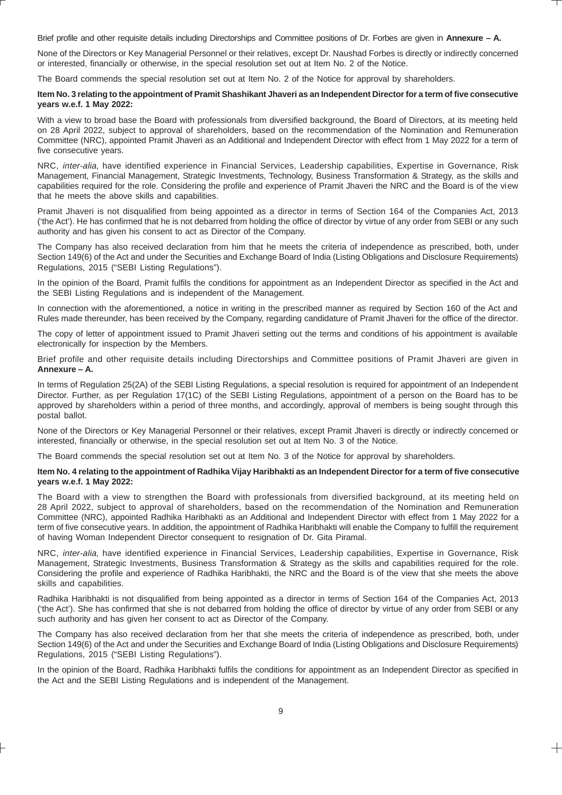Brief profile and other requisite details including Directorships and Committee positions of Dr. Forbes are given in **Annexure – A.**

None of the Directors or Key Managerial Personnel or their relatives, except Dr. Naushad Forbes is directly or indirectly concerned or interested, financially or otherwise, in the special resolution set out at Item No. 2 of the Notice.

The Board commends the special resolution set out at Item No. 2 of the Notice for approval by shareholders.

#### **Item No. 3 relating to the appointment of Pramit Shashikant Jhaveri as an Independent Director for a term of five consecutive years w.e.f. 1 May 2022:**

With a view to broad base the Board with professionals from diversified background, the Board of Directors, at its meeting held on 28 April 2022, subject to approval of shareholders, based on the recommendation of the Nomination and Remuneration Committee (NRC), appointed Pramit Jhaveri as an Additional and Independent Director with effect from 1 May 2022 for a term of five consecutive years.

NRC, inter-alia, have identified experience in Financial Services, Leadership capabilities, Expertise in Governance, Risk Management, Financial Management, Strategic Investments, Technology, Business Transformation & Strategy, as the skills and capabilities required for the role. Considering the profile and experience of Pramit Jhaveri the NRC and the Board is of the view that he meets the above skills and capabilities.

Pramit Jhaveri is not disqualified from being appointed as a director in terms of Section 164 of the Companies Act, 2013 ('the Act'). He has confirmed that he is not debarred from holding the office of director by virtue of any order from SEBI or any such authority and has given his consent to act as Director of the Company.

The Company has also received declaration from him that he meets the criteria of independence as prescribed, both, under Section 149(6) of the Act and under the Securities and Exchange Board of India (Listing Obligations and Disclosure Requirements) Regulations, 2015 ("SEBI Listing Regulations").

In the opinion of the Board, Pramit fulfils the conditions for appointment as an Independent Director as specified in the Act and the SEBI Listing Regulations and is independent of the Management.

In connection with the aforementioned, a notice in writing in the prescribed manner as required by Section 160 of the Act and Rules made thereunder, has been received by the Company, regarding candidature of Pramit Jhaveri for the office of the director.

The copy of letter of appointment issued to Pramit Jhaveri setting out the terms and conditions of his appointment is available electronically for inspection by the Members.

Brief profile and other requisite details including Directorships and Committee positions of Pramit Jhaveri are given in **Annexure – A.**

In terms of Regulation 25(2A) of the SEBI Listing Regulations, a special resolution is required for appointment of an Independent Director. Further, as per Regulation 17(1C) of the SEBI Listing Regulations, appointment of a person on the Board has to be approved by shareholders within a period of three months, and accordingly, approval of members is being sought through this postal ballot.

None of the Directors or Key Managerial Personnel or their relatives, except Pramit Jhaveri is directly or indirectly concerned or interested, financially or otherwise, in the special resolution set out at Item No. 3 of the Notice.

The Board commends the special resolution set out at Item No. 3 of the Notice for approval by shareholders.

#### **Item No. 4 relating to the appointment of Radhika Vijay Haribhakti as an Independent Director for a term of five consecutive years w.e.f. 1 May 2022:**

The Board with a view to strengthen the Board with professionals from diversified background, at its meeting held on 28 April 2022, subject to approval of shareholders, based on the recommendation of the Nomination and Remuneration Committee (NRC), appointed Radhika Haribhakti as an Additional and Independent Director with effect from 1 May 2022 for a term of five consecutive years. In addition, the appointment of Radhika Haribhakti will enable the Company to fulfill the requirement of having Woman Independent Director consequent to resignation of Dr. Gita Piramal.

NRC, inter-alia, have identified experience in Financial Services, Leadership capabilities, Expertise in Governance, Risk Management, Strategic Investments, Business Transformation & Strategy as the skills and capabilities required for the role. Considering the profile and experience of Radhika Haribhakti, the NRC and the Board is of the view that she meets the above skills and capabilities.

Radhika Haribhakti is not disqualified from being appointed as a director in terms of Section 164 of the Companies Act, 2013 ('the Act'). She has confirmed that she is not debarred from holding the office of director by virtue of any order from SEBI or any such authority and has given her consent to act as Director of the Company.

The Company has also received declaration from her that she meets the criteria of independence as prescribed, both, under Section 149(6) of the Act and under the Securities and Exchange Board of India (Listing Obligations and Disclosure Requirements) Regulations, 2015 ("SEBI Listing Regulations").

In the opinion of the Board, Radhika Haribhakti fulfils the conditions for appointment as an Independent Director as specified in the Act and the SEBI Listing Regulations and is independent of the Management.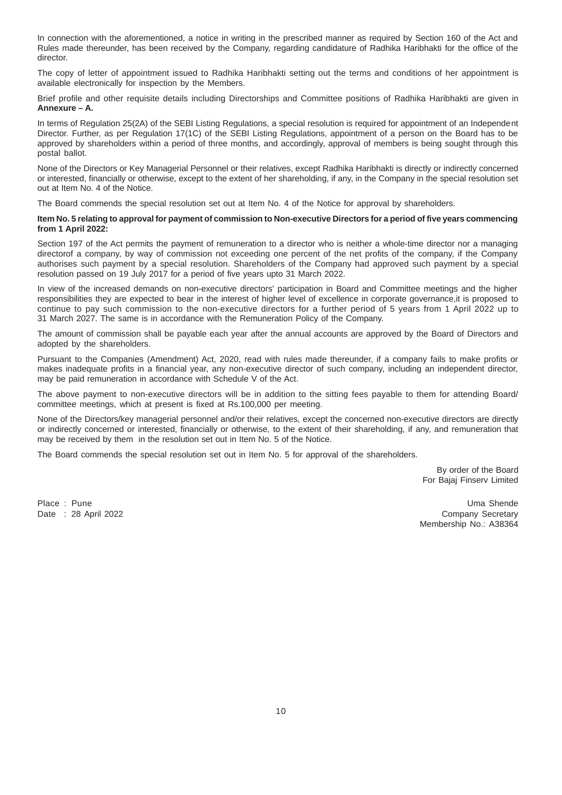In connection with the aforementioned, a notice in writing in the prescribed manner as required by Section 160 of the Act and Rules made thereunder, has been received by the Company, regarding candidature of Radhika Haribhakti for the office of the director.

The copy of letter of appointment issued to Radhika Haribhakti setting out the terms and conditions of her appointment is available electronically for inspection by the Members.

Brief profile and other requisite details including Directorships and Committee positions of Radhika Haribhakti are given in **Annexure – A.**

In terms of Regulation 25(2A) of the SEBI Listing Regulations, a special resolution is required for appointment of an Independent Director. Further, as per Regulation 17(1C) of the SEBI Listing Regulations, appointment of a person on the Board has to be approved by shareholders within a period of three months, and accordingly, approval of members is being sought through this postal ballot.

None of the Directors or Key Managerial Personnel or their relatives, except Radhika Haribhakti is directly or indirectly concerned or interested, financially or otherwise, except to the extent of her shareholding, if any, in the Company in the special resolution set out at Item No. 4 of the Notice.

The Board commends the special resolution set out at Item No. 4 of the Notice for approval by shareholders.

#### **Item No. 5 relating to approval for payment of commission to Non-executive Directors for a period of five years commencing from 1 April 2022:**

Section 197 of the Act permits the payment of remuneration to a director who is neither a whole-time director nor a managing directorof a company, by way of commission not exceeding one percent of the net profits of the company, if the Company authorises such payment by a special resolution. Shareholders of the Company had approved such payment by a special resolution passed on 19 July 2017 for a period of five years upto 31 March 2022.

In view of the increased demands on non-executive directors' participation in Board and Committee meetings and the higher responsibilities they are expected to bear in the interest of higher level of excellence in corporate governance,it is proposed to continue to pay such commission to the non-executive directors for a further period of 5 years from 1 April 2022 up to 31 March 2027. The same is in accordance with the Remuneration Policy of the Company.

The amount of commission shall be payable each year after the annual accounts are approved by the Board of Directors and adopted by the shareholders.

Pursuant to the Companies (Amendment) Act, 2020, read with rules made thereunder, if a company fails to make profits or makes inadequate profits in a financial year, any non-executive director of such company, including an independent director, may be paid remuneration in accordance with Schedule V of the Act.

The above payment to non-executive directors will be in addition to the sitting fees payable to them for attending Board/ committee meetings, which at present is fixed at Rs.100,000 per meeting.

None of the Directors/key managerial personnel and/or their relatives, except the concerned non-executive directors are directly or indirectly concerned or interested, financially or otherwise, to the extent of their shareholding, if any, and remuneration that may be received by them in the resolution set out in Item No. 5 of the Notice.

The Board commends the special resolution set out in Item No. 5 for approval of the shareholders.

By order of the Board For Bajaj Finserv Limited

Place : Pune Uma Shende Uma Shende Uma Shende Uma Shende Uma Shende Uma Shende Uma Shende Date : 28 April 2022 Company Secretary Membership No.: A38364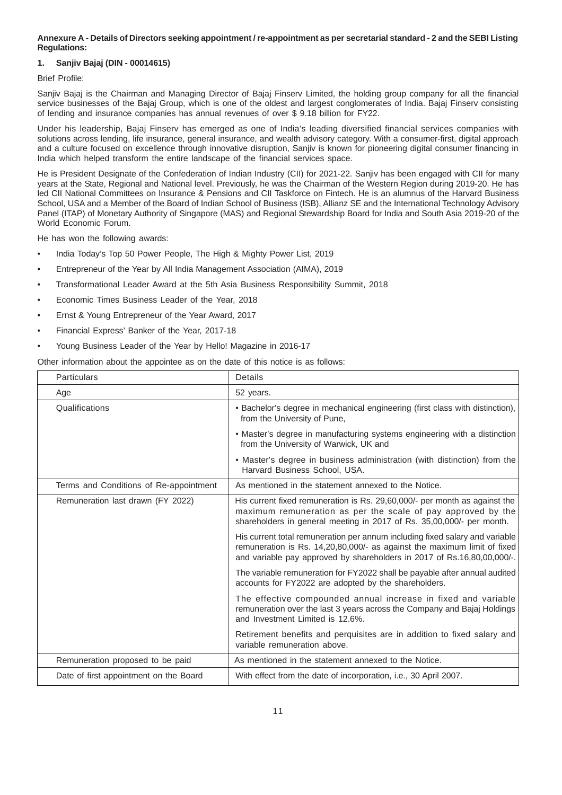#### **Annexure A - Details of Directors seeking appointment / re-appointment as per secretarial standard - 2 and the SEBI Listing Regulations:**

# **1. Sanjiv Bajaj (DIN - 00014615)**

# Brief Profile:

Sanjiy Bajaj is the Chairman and Managing Director of Bajaj Finsery Limited, the holding group company for all the financial service businesses of the Bajaj Group, which is one of the oldest and largest conglomerates of India. Bajaj Finsery consisting of lending and insurance companies has annual revenues of over \$ 9.18 billion for FY22.

Under his leadership, Bajaj Finserv has emerged as one of India's leading diversified financial services companies with solutions across lending, life insurance, general insurance, and wealth advisory category. With a consumer-first, digital approach and a culture focused on excellence through innovative disruption, Sanjiv is known for pioneering digital consumer financing in India which helped transform the entire landscape of the financial services space.

He is President Designate of the Confederation of Indian Industry (CII) for 2021-22. Sanjiv has been engaged with CII for many years at the State, Regional and National level. Previously, he was the Chairman of the Western Region during 2019-20. He has led CII National Committees on Insurance & Pensions and CII Taskforce on Fintech. He is an alumnus of the Harvard Business School, USA and a Member of the Board of Indian School of Business (ISB), Allianz SE and the International Technology Advisory Panel (ITAP) of Monetary Authority of Singapore (MAS) and Regional Stewardship Board for India and South Asia 2019-20 of the World Economic Forum.

He has won the following awards:

- India Today's Top 50 Power People, The High & Mighty Power List, 2019
- Entrepreneur of the Year by All India Management Association (AIMA), 2019
- Transformational Leader Award at the 5th Asia Business Responsibility Summit, 2018
- Economic Times Business Leader of the Year, 2018
- Ernst & Young Entrepreneur of the Year Award, 2017
- Financial Express' Banker of the Year, 2017-18
- Young Business Leader of the Year by Hello! Magazine in 2016-17

Other information about the appointee as on the date of this notice is as follows:

| <b>Particulars</b>                     | Details                                                                                                                                                                                                                             |
|----------------------------------------|-------------------------------------------------------------------------------------------------------------------------------------------------------------------------------------------------------------------------------------|
| Age                                    | 52 years.                                                                                                                                                                                                                           |
| Qualifications                         | • Bachelor's degree in mechanical engineering (first class with distinction),<br>from the University of Pune,                                                                                                                       |
|                                        | • Master's degree in manufacturing systems engineering with a distinction<br>from the University of Warwick, UK and                                                                                                                 |
|                                        | • Master's degree in business administration (with distinction) from the<br>Harvard Business School, USA.                                                                                                                           |
| Terms and Conditions of Re-appointment | As mentioned in the statement annexed to the Notice.                                                                                                                                                                                |
| Remuneration last drawn (FY 2022)      | His current fixed remuneration is Rs. 29,60,000/- per month as against the<br>maximum remuneration as per the scale of pay approved by the<br>shareholders in general meeting in 2017 of Rs. 35,00,000/- per month.                 |
|                                        | His current total remuneration per annum including fixed salary and variable<br>remuneration is Rs. 14,20,80,000/- as against the maximum limit of fixed<br>and variable pay approved by shareholders in 2017 of Rs.16,80,00,000/-. |
|                                        | The variable remuneration for FY2022 shall be payable after annual audited<br>accounts for FY2022 are adopted by the shareholders.                                                                                                  |
|                                        | The effective compounded annual increase in fixed and variable<br>remuneration over the last 3 years across the Company and Bajaj Holdings<br>and Investment Limited is 12.6%.                                                      |
|                                        | Retirement benefits and perquisites are in addition to fixed salary and<br>variable remuneration above.                                                                                                                             |
| Remuneration proposed to be paid       | As mentioned in the statement annexed to the Notice.                                                                                                                                                                                |
| Date of first appointment on the Board | With effect from the date of incorporation, i.e., 30 April 2007.                                                                                                                                                                    |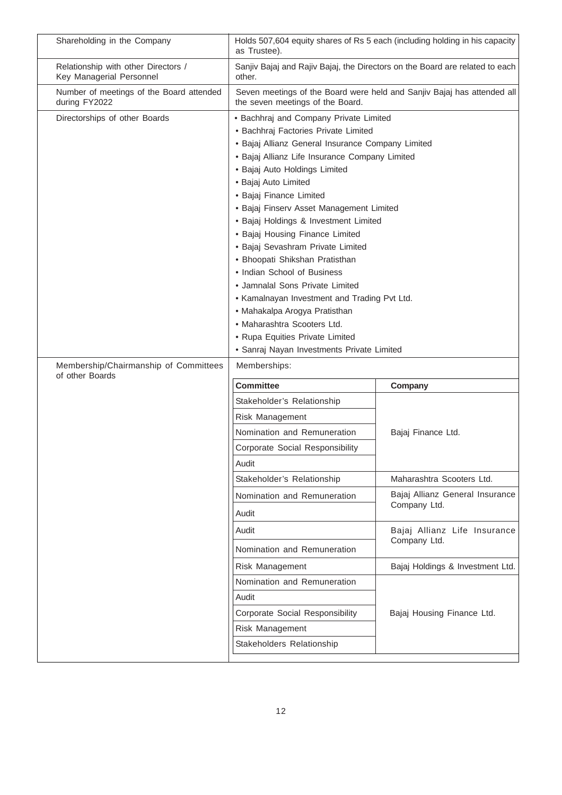| Shareholding in the Company                                     | as Trustee).                                                                                                                                                                                                                                                                                                                                                                                                                                                                                                                                                                                                                                                                                  | Holds 507,604 equity shares of Rs 5 each (including holding in his capacity  |  |
|-----------------------------------------------------------------|-----------------------------------------------------------------------------------------------------------------------------------------------------------------------------------------------------------------------------------------------------------------------------------------------------------------------------------------------------------------------------------------------------------------------------------------------------------------------------------------------------------------------------------------------------------------------------------------------------------------------------------------------------------------------------------------------|------------------------------------------------------------------------------|--|
| Relationship with other Directors /<br>Key Managerial Personnel | other.                                                                                                                                                                                                                                                                                                                                                                                                                                                                                                                                                                                                                                                                                        | Sanjiv Bajaj and Rajiv Bajaj, the Directors on the Board are related to each |  |
| Number of meetings of the Board attended<br>during FY2022       | the seven meetings of the Board.                                                                                                                                                                                                                                                                                                                                                                                                                                                                                                                                                                                                                                                              | Seven meetings of the Board were held and Sanjiv Bajaj has attended all      |  |
| Directorships of other Boards                                   | · Bachhraj and Company Private Limited<br>· Bachhraj Factories Private Limited<br>· Bajaj Allianz General Insurance Company Limited<br>· Bajaj Allianz Life Insurance Company Limited<br>· Bajaj Auto Holdings Limited<br>· Bajaj Auto Limited<br>· Bajaj Finance Limited<br>· Bajaj Finserv Asset Management Limited<br>· Bajaj Holdings & Investment Limited<br>• Bajaj Housing Finance Limited<br>· Bajaj Sevashram Private Limited<br>• Bhoopati Shikshan Pratisthan<br>• Indian School of Business<br>• Jamnalal Sons Private Limited<br>• Kamalnayan Investment and Trading Pvt Ltd.<br>• Mahakalpa Arogya Pratisthan<br>• Maharashtra Scooters Ltd.<br>• Rupa Equities Private Limited |                                                                              |  |
|                                                                 | · Sanraj Nayan Investments Private Limited                                                                                                                                                                                                                                                                                                                                                                                                                                                                                                                                                                                                                                                    |                                                                              |  |
| Membership/Chairmanship of Committees<br>of other Boards        | Memberships:                                                                                                                                                                                                                                                                                                                                                                                                                                                                                                                                                                                                                                                                                  |                                                                              |  |
|                                                                 | <b>Committee</b>                                                                                                                                                                                                                                                                                                                                                                                                                                                                                                                                                                                                                                                                              | Company                                                                      |  |
|                                                                 | Stakeholder's Relationship                                                                                                                                                                                                                                                                                                                                                                                                                                                                                                                                                                                                                                                                    |                                                                              |  |
|                                                                 | Risk Management                                                                                                                                                                                                                                                                                                                                                                                                                                                                                                                                                                                                                                                                               |                                                                              |  |
|                                                                 | Nomination and Remuneration                                                                                                                                                                                                                                                                                                                                                                                                                                                                                                                                                                                                                                                                   | Bajaj Finance Ltd.                                                           |  |
|                                                                 | <b>Corporate Social Responsibility</b>                                                                                                                                                                                                                                                                                                                                                                                                                                                                                                                                                                                                                                                        |                                                                              |  |
|                                                                 | Audit                                                                                                                                                                                                                                                                                                                                                                                                                                                                                                                                                                                                                                                                                         |                                                                              |  |
|                                                                 | Stakeholder's Relationship                                                                                                                                                                                                                                                                                                                                                                                                                                                                                                                                                                                                                                                                    | Maharashtra Scooters Ltd.                                                    |  |
|                                                                 | Nomination and Remuneration                                                                                                                                                                                                                                                                                                                                                                                                                                                                                                                                                                                                                                                                   | Bajaj Allianz General Insurance<br>Company Ltd.                              |  |
|                                                                 | Audit                                                                                                                                                                                                                                                                                                                                                                                                                                                                                                                                                                                                                                                                                         |                                                                              |  |
|                                                                 | Audit                                                                                                                                                                                                                                                                                                                                                                                                                                                                                                                                                                                                                                                                                         | Bajaj Allianz Life Insurance                                                 |  |
|                                                                 | Nomination and Remuneration                                                                                                                                                                                                                                                                                                                                                                                                                                                                                                                                                                                                                                                                   | Company Ltd.                                                                 |  |
|                                                                 | Risk Management                                                                                                                                                                                                                                                                                                                                                                                                                                                                                                                                                                                                                                                                               | Bajaj Holdings & Investment Ltd.                                             |  |
|                                                                 | Nomination and Remuneration                                                                                                                                                                                                                                                                                                                                                                                                                                                                                                                                                                                                                                                                   |                                                                              |  |
|                                                                 | Audit                                                                                                                                                                                                                                                                                                                                                                                                                                                                                                                                                                                                                                                                                         |                                                                              |  |
|                                                                 |                                                                                                                                                                                                                                                                                                                                                                                                                                                                                                                                                                                                                                                                                               | Bajaj Housing Finance Ltd.                                                   |  |
|                                                                 | <b>Corporate Social Responsibility</b>                                                                                                                                                                                                                                                                                                                                                                                                                                                                                                                                                                                                                                                        |                                                                              |  |
|                                                                 | Risk Management                                                                                                                                                                                                                                                                                                                                                                                                                                                                                                                                                                                                                                                                               |                                                                              |  |
|                                                                 | Stakeholders Relationship                                                                                                                                                                                                                                                                                                                                                                                                                                                                                                                                                                                                                                                                     |                                                                              |  |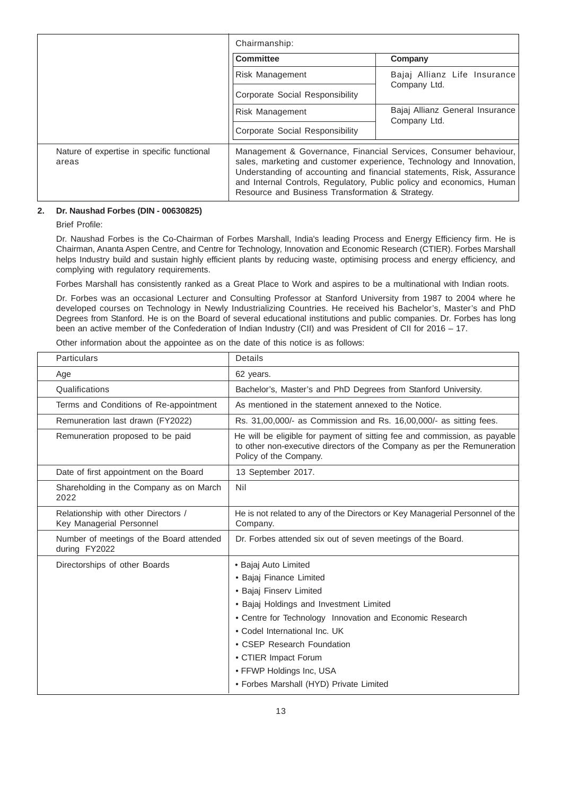|                                                     | Chairmanship:                                                                                                             |                                                                                                                                                                                                                   |
|-----------------------------------------------------|---------------------------------------------------------------------------------------------------------------------------|-------------------------------------------------------------------------------------------------------------------------------------------------------------------------------------------------------------------|
|                                                     | <b>Committee</b>                                                                                                          | Company                                                                                                                                                                                                           |
|                                                     | Risk Management                                                                                                           | Bajaj Allianz Life Insurance                                                                                                                                                                                      |
|                                                     | Corporate Social Responsibility                                                                                           | Company Ltd.                                                                                                                                                                                                      |
|                                                     | Risk Management                                                                                                           | Bajaj Allianz General Insurance<br>Company Ltd.                                                                                                                                                                   |
|                                                     | Corporate Social Responsibility                                                                                           |                                                                                                                                                                                                                   |
| Nature of expertise in specific functional<br>areas | and Internal Controls, Regulatory, Public policy and economics, Human<br>Resource and Business Transformation & Strategy. | Management & Governance, Financial Services, Consumer behaviour,<br>sales, marketing and customer experience, Technology and Innovation,<br>Understanding of accounting and financial statements, Risk, Assurance |

## **2. Dr. Naushad Forbes (DIN - 00630825)**

Brief Profile:

Dr. Naushad Forbes is the Co-Chairman of Forbes Marshall, India's leading Process and Energy Efficiency firm. He is Chairman, Ananta Aspen Centre, and Centre for Technology, Innovation and Economic Research (CTIER). Forbes Marshall helps Industry build and sustain highly efficient plants by reducing waste, optimising process and energy efficiency, and complying with regulatory requirements.

Forbes Marshall has consistently ranked as a Great Place to Work and aspires to be a multinational with Indian roots.

Dr. Forbes was an occasional Lecturer and Consulting Professor at Stanford University from 1987 to 2004 where he developed courses on Technology in Newly Industrializing Countries. He received his Bachelor's, Master's and PhD Degrees from Stanford. He is on the Board of several educational institutions and public companies. Dr. Forbes has long been an active member of the Confederation of Indian Industry (CII) and was President of CII for 2016 – 17.

Other information about the appointee as on the date of this notice is as follows:

| <b>Particulars</b>                                              | <b>Details</b>                                                                                                                                                                                                                                                                                                                                  |
|-----------------------------------------------------------------|-------------------------------------------------------------------------------------------------------------------------------------------------------------------------------------------------------------------------------------------------------------------------------------------------------------------------------------------------|
| Age                                                             | 62 years.                                                                                                                                                                                                                                                                                                                                       |
| Qualifications                                                  | Bachelor's, Master's and PhD Degrees from Stanford University.                                                                                                                                                                                                                                                                                  |
| Terms and Conditions of Re-appointment                          | As mentioned in the statement annexed to the Notice.                                                                                                                                                                                                                                                                                            |
| Remuneration last drawn (FY2022)                                | Rs. 31,00,000/- as Commission and Rs. 16,00,000/- as sitting fees.                                                                                                                                                                                                                                                                              |
| Remuneration proposed to be paid                                | He will be eligible for payment of sitting fee and commission, as payable<br>to other non-executive directors of the Company as per the Remuneration<br>Policy of the Company.                                                                                                                                                                  |
| Date of first appointment on the Board                          | 13 September 2017.                                                                                                                                                                                                                                                                                                                              |
| Shareholding in the Company as on March<br>2022                 | Nil                                                                                                                                                                                                                                                                                                                                             |
| Relationship with other Directors /<br>Key Managerial Personnel | He is not related to any of the Directors or Key Managerial Personnel of the<br>Company.                                                                                                                                                                                                                                                        |
| Number of meetings of the Board attended<br>during FY2022       | Dr. Forbes attended six out of seven meetings of the Board.                                                                                                                                                                                                                                                                                     |
| Directorships of other Boards                                   | · Bajaj Auto Limited<br>• Bajaj Finance Limited<br>· Bajaj Finserv Limited<br>• Bajaj Holdings and Investment Limited<br>• Centre for Technology Innovation and Economic Research<br>• Codel International Inc. UK<br>• CSEP Research Foundation<br>• CTIER Impact Forum<br>• FFWP Holdings Inc, USA<br>· Forbes Marshall (HYD) Private Limited |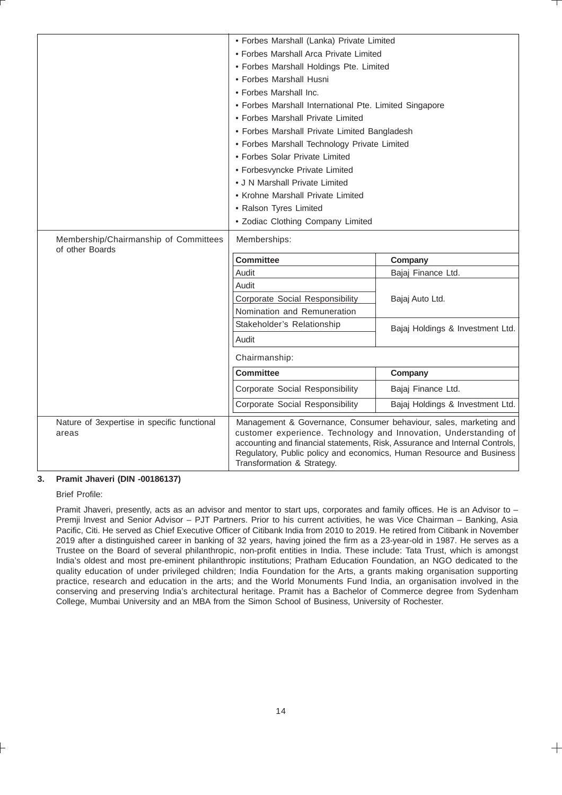|                                                          | · Forbes Marshall (Lanka) Private Limited                                                                                                                                                                                                             |                                                                   |
|----------------------------------------------------------|-------------------------------------------------------------------------------------------------------------------------------------------------------------------------------------------------------------------------------------------------------|-------------------------------------------------------------------|
|                                                          | • Forbes Marshall Arca Private Limited                                                                                                                                                                                                                |                                                                   |
|                                                          | • Forbes Marshall Holdings Pte. Limited                                                                                                                                                                                                               |                                                                   |
|                                                          | • Forbes Marshall Husni                                                                                                                                                                                                                               |                                                                   |
|                                                          | • Forbes Marshall Inc.                                                                                                                                                                                                                                |                                                                   |
|                                                          | • Forbes Marshall International Pte. Limited Singapore                                                                                                                                                                                                |                                                                   |
|                                                          | • Forbes Marshall Private Limited                                                                                                                                                                                                                     |                                                                   |
|                                                          | • Forbes Marshall Private Limited Bangladesh                                                                                                                                                                                                          |                                                                   |
|                                                          | • Forbes Marshall Technology Private Limited                                                                                                                                                                                                          |                                                                   |
|                                                          | • Forbes Solar Private Limited                                                                                                                                                                                                                        |                                                                   |
|                                                          | • Forbesvyncke Private Limited                                                                                                                                                                                                                        |                                                                   |
|                                                          | • J N Marshall Private Limited                                                                                                                                                                                                                        |                                                                   |
|                                                          | • Krohne Marshall Private Limited                                                                                                                                                                                                                     |                                                                   |
|                                                          | • Ralson Tyres Limited                                                                                                                                                                                                                                |                                                                   |
|                                                          | · Zodiac Clothing Company Limited                                                                                                                                                                                                                     |                                                                   |
| Membership/Chairmanship of Committees<br>of other Boards | Memberships:                                                                                                                                                                                                                                          |                                                                   |
|                                                          | <b>Committee</b>                                                                                                                                                                                                                                      | Company                                                           |
|                                                          | Audit                                                                                                                                                                                                                                                 | Bajaj Finance Ltd.                                                |
|                                                          | Audit                                                                                                                                                                                                                                                 |                                                                   |
|                                                          | Corporate Social Responsibility                                                                                                                                                                                                                       | Bajaj Auto Ltd.                                                   |
|                                                          | Nomination and Remuneration                                                                                                                                                                                                                           |                                                                   |
|                                                          | Stakeholder's Relationship                                                                                                                                                                                                                            | Bajaj Holdings & Investment Ltd.                                  |
|                                                          | Audit                                                                                                                                                                                                                                                 |                                                                   |
|                                                          | Chairmanship:                                                                                                                                                                                                                                         |                                                                   |
|                                                          | <b>Committee</b>                                                                                                                                                                                                                                      | Company                                                           |
|                                                          | <b>Corporate Social Responsibility</b>                                                                                                                                                                                                                | Bajaj Finance Ltd.                                                |
|                                                          | <b>Corporate Social Responsibility</b>                                                                                                                                                                                                                | Bajaj Holdings & Investment Ltd.                                  |
| Nature of 3expertise in specific functional<br>areas     | customer experience. Technology and Innovation, Understanding of<br>accounting and financial statements, Risk, Assurance and Internal Controls,<br>Regulatory, Public policy and economics, Human Resource and Business<br>Transformation & Strategy. | Management & Governance, Consumer behaviour, sales, marketing and |

# **3. Pramit Jhaveri (DIN -00186137)**

Brief Profile:

Pramit Jhaveri, presently, acts as an advisor and mentor to start ups, corporates and family offices. He is an Advisor to -Premji Invest and Senior Advisor – PJT Partners. Prior to his current activities, he was Vice Chairman – Banking, Asia Pacific, Citi. He served as Chief Executive Officer of Citibank India from 2010 to 2019. He retired from Citibank in November 2019 after a distinguished career in banking of 32 years, having joined the firm as a 23-year-old in 1987. He serves as a Trustee on the Board of several philanthropic, non-profit entities in India. These include: Tata Trust, which is amongst India's oldest and most pre-eminent philanthropic institutions; Pratham Education Foundation, an NGO dedicated to the quality education of under privileged children; India Foundation for the Arts, a grants making organisation supporting practice, research and education in the arts; and the World Monuments Fund India, an organisation involved in the conserving and preserving India's architectural heritage. Pramit has a Bachelor of Commerce degree from Sydenham College, Mumbai University and an MBA from the Simon School of Business, University of Rochester.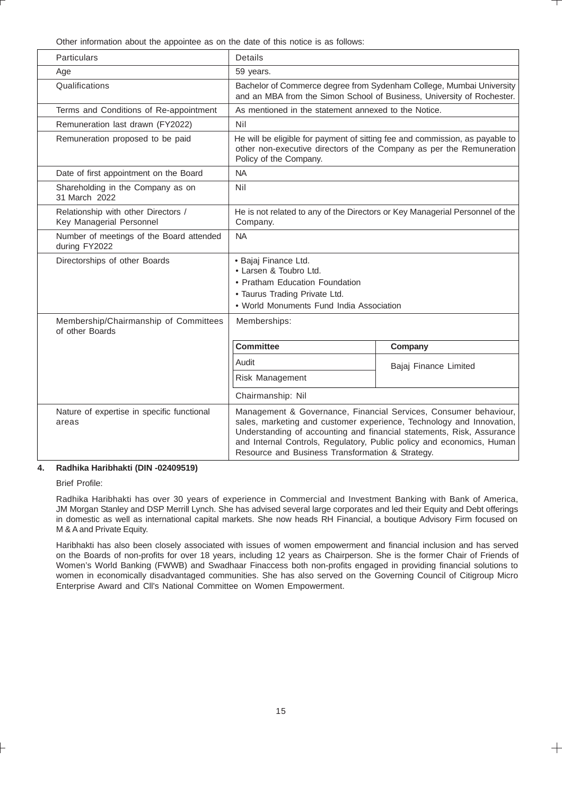Other information about the appointee as on the date of this notice is as follows:

| <b>Particulars</b>                                              | Details                                                                                                                                                                                                                                                                                                                                        |                       |
|-----------------------------------------------------------------|------------------------------------------------------------------------------------------------------------------------------------------------------------------------------------------------------------------------------------------------------------------------------------------------------------------------------------------------|-----------------------|
| Age                                                             | 59 years.                                                                                                                                                                                                                                                                                                                                      |                       |
| Qualifications                                                  | Bachelor of Commerce degree from Sydenham College, Mumbai University<br>and an MBA from the Simon School of Business, University of Rochester.                                                                                                                                                                                                 |                       |
| Terms and Conditions of Re-appointment                          | As mentioned in the statement annexed to the Notice.                                                                                                                                                                                                                                                                                           |                       |
| Remuneration last drawn (FY2022)                                | Nil                                                                                                                                                                                                                                                                                                                                            |                       |
| Remuneration proposed to be paid                                | He will be eligible for payment of sitting fee and commission, as payable to<br>other non-executive directors of the Company as per the Remuneration<br>Policy of the Company.                                                                                                                                                                 |                       |
| Date of first appointment on the Board                          | <b>NA</b>                                                                                                                                                                                                                                                                                                                                      |                       |
| Shareholding in the Company as on<br>31 March 2022              | Nil                                                                                                                                                                                                                                                                                                                                            |                       |
| Relationship with other Directors /<br>Key Managerial Personnel | He is not related to any of the Directors or Key Managerial Personnel of the<br>Company.                                                                                                                                                                                                                                                       |                       |
| Number of meetings of the Board attended<br>during FY2022       | <b>NA</b>                                                                                                                                                                                                                                                                                                                                      |                       |
| Directorships of other Boards                                   | · Bajaj Finance Ltd.<br>· Larsen & Toubro Ltd.<br>• Pratham Education Foundation<br>• Taurus Trading Private Ltd.<br>. World Monuments Fund India Association                                                                                                                                                                                  |                       |
| Membership/Chairmanship of Committees<br>of other Boards        | Memberships:                                                                                                                                                                                                                                                                                                                                   |                       |
|                                                                 | <b>Committee</b>                                                                                                                                                                                                                                                                                                                               | Company               |
|                                                                 | Audit                                                                                                                                                                                                                                                                                                                                          | Bajaj Finance Limited |
|                                                                 | Risk Management                                                                                                                                                                                                                                                                                                                                |                       |
|                                                                 | Chairmanship: Nil                                                                                                                                                                                                                                                                                                                              |                       |
| Nature of expertise in specific functional<br>areas             | Management & Governance, Financial Services, Consumer behaviour,<br>sales, marketing and customer experience, Technology and Innovation,<br>Understanding of accounting and financial statements, Risk, Assurance<br>and Internal Controls, Regulatory, Public policy and economics, Human<br>Resource and Business Transformation & Strategy. |                       |

## **4. Radhika Haribhakti (DIN -02409519)**

Brief Profile:

Radhika Haribhakti has over 30 years of experience in Commercial and Investment Banking with Bank of America, JM Morgan Stanley and DSP Merrill Lynch. She has advised several large corporates and led their Equity and Debt offerings in domestic as well as international capital markets. She now heads RH Financial, a boutique Advisory Firm focused on M & A and Private Equity.

Haribhakti has also been closely associated with issues of women empowerment and financial inclusion and has served on the Boards of non-profits for over 18 years, including 12 years as Chairperson. She is the former Chair of Friends of Women's World Banking (FWWB) and Swadhaar Finaccess both non-profits engaged in providing financial solutions to women in economically disadvantaged communities. She has also served on the Governing Council of Citigroup Micro Enterprise Award and Cll's National Committee on Women Empowerment.